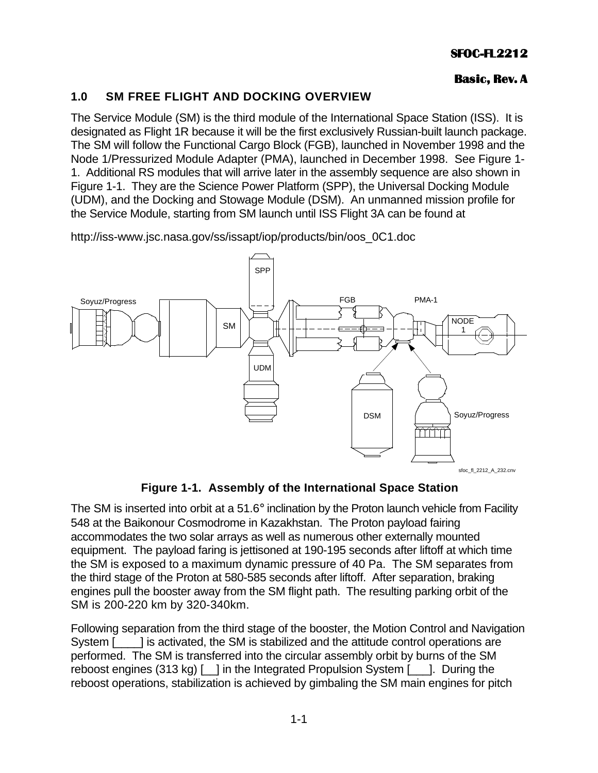### **Basic, Rev. A**

# **1 .0 SM FREE FLIGHT AND DOCKING OVERVIEW**

The Service Module (SM) is the third module of the International Space Station (ISS). It is designated as Flight 1R because it will be the first exclusively Russian-built launch package. The SM will follow the Functional Cargo Block (FGB), launched in November 1998 and the Node 1/Pressurized Module Adapter (PMA), launched in December 1998. See Figure 1- 1. Additional RS modules that will arrive later in the assembly sequence are also shown in Figure 1-1. They are the Science Power Platform (SPP), the Universal Docking Module (UDM), and the Docking and Stowage Module (DSM). An unmanned mission profile for the Service Module, starting from SM launch until ISS Flight 3A can be found at

http://iss-www.jsc.nasa.gov/ss/issapt/iop/products/bin/oos\_0C1.doc



**Figure 1-1. Assembly of the International Space Station**

The SM is inserted into orbit at a 51.6° inclination by the Proton launch vehicle from Facility 548 at the Baikonour Cosmodrome in Kazakhstan. The Proton payload fairing accommodates the two solar arrays as well as numerous other externally mounted equipment. The payload faring is jettisoned at 190-195 seconds after liftoff at which time the SM is exposed to a maximum dynamic pressure of 40 Pa. The SM separates from the third stage of the Proton at 580-585 seconds after liftoff. After separation, braking engines pull the booster away from the SM flight path. The resulting parking orbit of the SM is 200-220 km by 320-340km.

Following separation from the third stage of the booster, the Motion Control and Navigation System [1, 2015] is activated, the SM is stabilized and the attitude control operations are performed. The SM is transferred into the circular assembly orbit by burns of the SM reboost engines (313 kg) [ ] in the Integrated Propulsion System [ ]. During the reboost operations, stabilization is achieved by gimbaling the SM main engines for pitch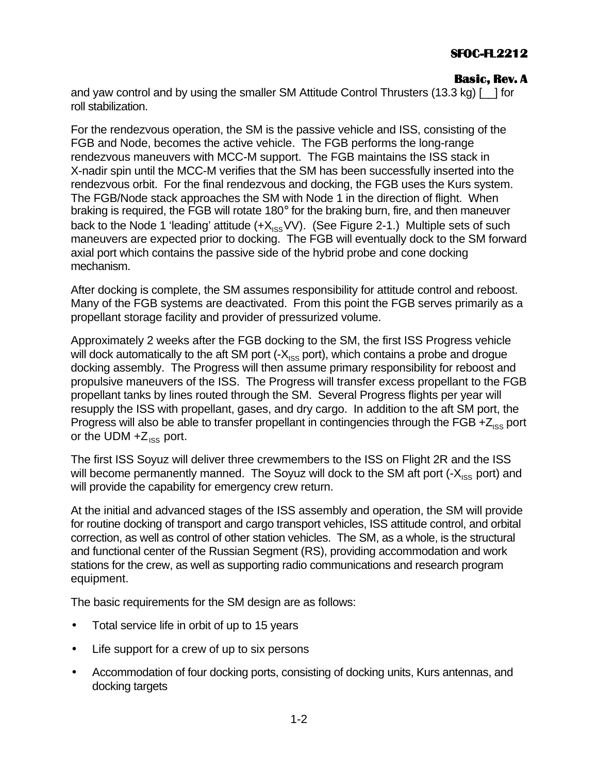### **Basic, Rev. A**

and yaw control and by using the smaller SM Attitude Control Thrusters (13.3 kg) [ ] for roll stabilization.

For the rendezvous operation, the SM is the passive vehicle and ISS, consisting of the FGB and Node, becomes the active vehicle. The FGB performs the long-range rendezvous maneuvers with MCC-M support. The FGB maintains the ISS stack in X-nadir spin until the MCC-M verifies that the SM has been successfully inserted into the rendezvous orbit. For the final rendezvous and docking, the FGB uses the Kurs system. The FGB/Node stack approaches the SM with Node 1 in the direction of flight. When braking is required, the FGB will rotate 180° for the braking burn, fire, and then maneuver back to the Node 1 'leading' attitude  $(+X_{ISS}VV)$ . (See Figure 2-1.) Multiple sets of such maneuvers are expected prior to docking. The FGB will eventually dock to the SM forward axial port which contains the passive side of the hybrid probe and cone docking mechanism.

After docking is complete, the SM assumes responsibility for attitude control and reboost. Many of the FGB systems are deactivated. From this point the FGB serves primarily as a propellant storage facility and provider of pressurized volume.

Approximately 2 weeks after the FGB docking to the SM, the first ISS Progress vehicle will dock automatically to the aft SM port  $(-X_{\text{ice}}$  port), which contains a probe and drogue docking assembly. The Progress will then assume primary responsibility for reboost and propulsive maneuvers of the ISS. The Progress will transfer excess propellant to the FGB propellant tanks by lines routed through the SM. Several Progress flights per year will resupply the ISS with propellant, gases, and dry cargo. In addition to the aft SM port, the Progress will also be able to transfer propellant in contingencies through the FGB  $+Z_{ISS}$  port or the UDM  $+Z_{\text{ISS}}$  port.

The first ISS Soyuz will deliver three crewmembers to the ISS on Flight 2R and the ISS will become permanently manned. The Soyuz will dock to the SM aft port  $(-X_{\text{ISS}}$  port) and will provide the capability for emergency crew return.

At the initial and advanced stages of the ISS assembly and operation, the SM will provide for routine docking of transport and cargo transport vehicles, ISS attitude control, and orbital correction, as well as control of other station vehicles. The SM, as a whole, is the structural and functional center of the Russian Segment (RS), providing accommodation and work stations for the crew, as well as supporting radio communications and research program equipment.

The basic requirements for the SM design are as follows:

- Total service life in orbit of up to 15 years
- Life support for a crew of up to six persons
- Accommodation of four docking ports, consisting of docking units, Kurs antennas, and docking targets